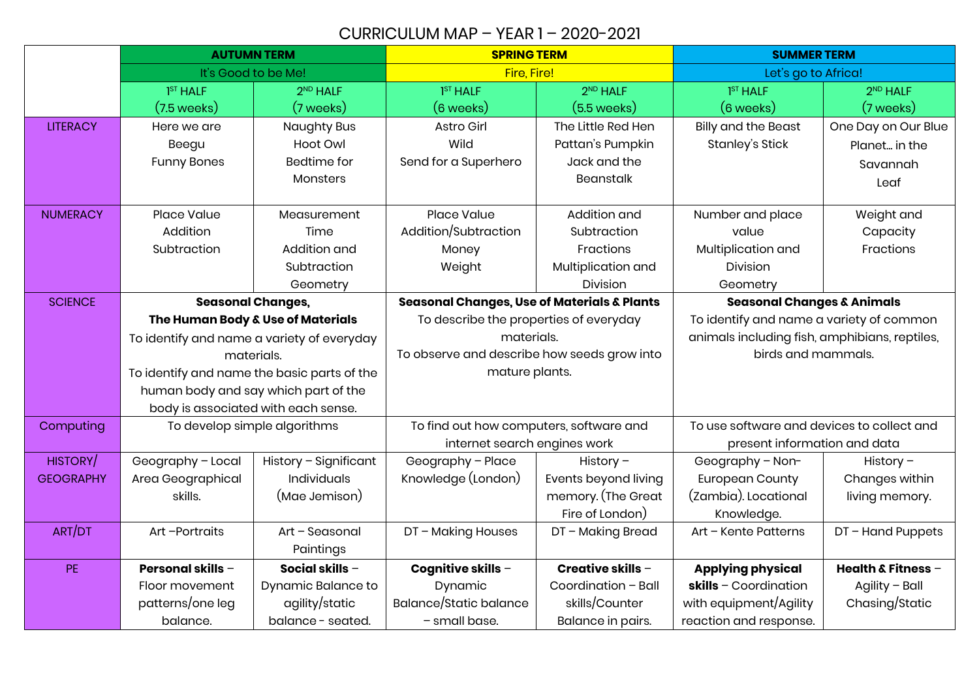## CURRICULUM MAP – YEAR 1 – 2020-2021

|                  | <b>AUTUMN TERM</b>                          |                       | <b>SPRING TERM</b>                                     |                       | <b>SUMMER TERM</b>                            |                      |
|------------------|---------------------------------------------|-----------------------|--------------------------------------------------------|-----------------------|-----------------------------------------------|----------------------|
|                  | It's Good to be Me!                         |                       | Fire, Fire!                                            |                       | Let's go to Africa!                           |                      |
|                  | 1 <sup>ST</sup> HALF                        | 2 <sup>ND</sup> HALF  | 1 <sup>ST</sup> HALF                                   | 2 <sup>ND</sup> HALF  | 1 <sup>ST</sup> HALF                          | 2 <sup>ND</sup> HALF |
|                  | $(7.5 \text{ weeks})$                       | (7 weeks)             | $(6 \text{ weeks})$                                    | $(5.5 \text{ weeks})$ | $(6$ weeks)                                   | (7 weeks)            |
| <b>LITERACY</b>  | Here we are                                 | <b>Naughty Bus</b>    | Astro Girl                                             | The Little Red Hen    | <b>Billy and the Beast</b>                    | One Day on Our Blue  |
|                  | Beegu                                       | Hoot Owl              | Wild                                                   | Pattan's Pumpkin      | Stanley's Stick                               | Planet in the        |
|                  | <b>Funny Bones</b>                          | Bedtime for           | Send for a Superhero                                   | Jack and the          |                                               | Savannah             |
|                  |                                             | Monsters              |                                                        | <b>Beanstalk</b>      |                                               | Leaf                 |
|                  |                                             |                       |                                                        |                       |                                               |                      |
| <b>NUMERACY</b>  | Place Value                                 | Measurement           | Place Value                                            | Addition and          | Number and place                              | Weight and           |
|                  | Addition                                    | Time                  | Addition/Subtraction                                   | Subtraction           | value                                         | Capacity             |
|                  | Subtraction                                 | Addition and          | Money                                                  | Fractions             | Multiplication and                            | Fractions            |
|                  |                                             | Subtraction           | Weight                                                 | Multiplication and    | Division                                      |                      |
|                  |                                             | Geometry              |                                                        | Division              | Geometry                                      |                      |
| <b>SCIENCE</b>   | <b>Seasonal Changes,</b>                    |                       | <b>Seasonal Changes, Use of Materials &amp; Plants</b> |                       | <b>Seasonal Changes &amp; Animals</b>         |                      |
|                  | The Human Body & Use of Materials           |                       | To describe the properties of everyday                 |                       | To identify and name a variety of common      |                      |
|                  | To identify and name a variety of everyday  |                       | materials.                                             |                       | animals including fish, amphibians, reptiles, |                      |
|                  | materials.                                  |                       | To observe and describe how seeds grow into            |                       | birds and mammals.                            |                      |
|                  | To identify and name the basic parts of the |                       | mature plants.                                         |                       |                                               |                      |
|                  | human body and say which part of the        |                       |                                                        |                       |                                               |                      |
|                  | body is associated with each sense.         |                       |                                                        |                       |                                               |                      |
| Computing        | To develop simple algorithms                |                       | To find out how computers, software and                |                       | To use software and devices to collect and    |                      |
|                  |                                             |                       | internet search engines work                           |                       | present information and data                  |                      |
| HISTORY/         | Geography - Local                           | History - Significant | Geography - Place                                      | History $-$           | Geography - Non-                              | History $-$          |
| <b>GEOGRAPHY</b> | Area Geographical                           | <b>Individuals</b>    | Knowledge (London)                                     | Events beyond living  | <b>European County</b>                        | Changes within       |
|                  | skills.                                     | (Mae Jemison)         |                                                        | memory. (The Great    | (Zambia). Locational                          | living memory.       |
|                  |                                             |                       |                                                        | Fire of London)       | Knowledge.                                    |                      |
| ART/DT           | Art-Portraits                               | Art - Seasonal        | DT - Making Houses                                     | DT - Making Bread     | Art - Kente Patterns                          | DT-Hand Puppets      |
|                  |                                             | Paintings             |                                                        |                       |                                               |                      |
| <b>PE</b>        | <b>Personal skills -</b>                    | Social skills -       | Cognitive skills -                                     | Creative skills $-$   | <b>Applying physical</b>                      | Health & Fitness $-$ |
|                  | Floor movement                              | Dynamic Balance to    | Dynamic                                                | Coordination - Ball   | $skills - Coordination$                       | Agility - Ball       |
|                  | patterns/one leg                            | agility/static        | Balance/Static balance                                 | skills/Counter        | with equipment/Agility                        | Chasing/Static       |
|                  | balance.                                    | balance - seated.     | - small base.                                          | Balance in pairs.     | reaction and response.                        |                      |